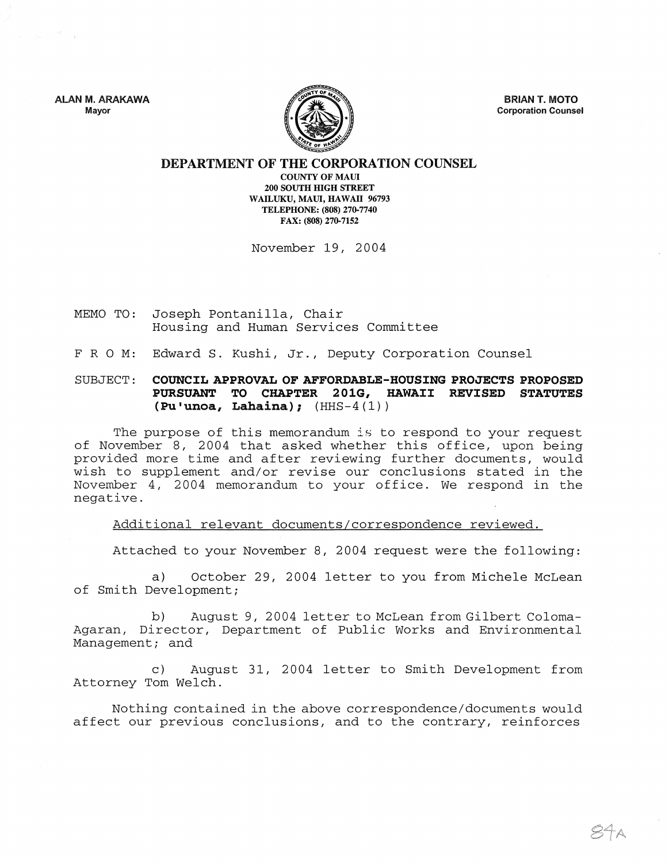ALAN M. ARAKAWA Mayor



BRIAN T. MOTO Corporation Counsel

## DEPARTMENT OF THE CORPORATION COUNSEL

COUNTY OF MAUl 200 SOUTH HIGH STREET WAILUKU, MAUl, HAWAII 96793 TELEPHONE: (808) 270-7740 FAX: (808) 270-7152

November 19, 2004

- MEMO TO: Joseph Pontanilla, Chair Housing and Human Services Committee
- FRO M: Edward S. Kushi, Jr., Deputy Corporation Counsel

## SUBJECT: COUNCIL APPROVAL OF AFFORDABLE-HOUSING PROJECTS PROPOSED PURSUANT TO CHAPTER 201G, HAWAII REVISED STATUTES (Pu'unoa, Lahaina);  $(HHS-4(1))$

The purpose of this memorandum is to respond to your request of November 8, 2004 that asked whether this office, upon being provided more time and after reviewing further documents, would wish to supplement and/or revise our conclusions stated in the November 4, 2004 memorandum to your office. We respond in the negative.

Additional relevant documents/correspondence reviewed.

Attached to your November 8, 2004 request were the following:

a) October 29, 2004 letter to you from Michele McLean of Smith Development;

b) August 9, 2004 letter to McLean from Gilbert Coloma-Agaran, Director, Department of Public Works and Environmental Management; and

c) August 31, 2004 letter to Smith Development from Attorney Tom Welch.

Nothing contained in the above correspondence/documents would affect our previous conclusions, and to the contrary, reinforces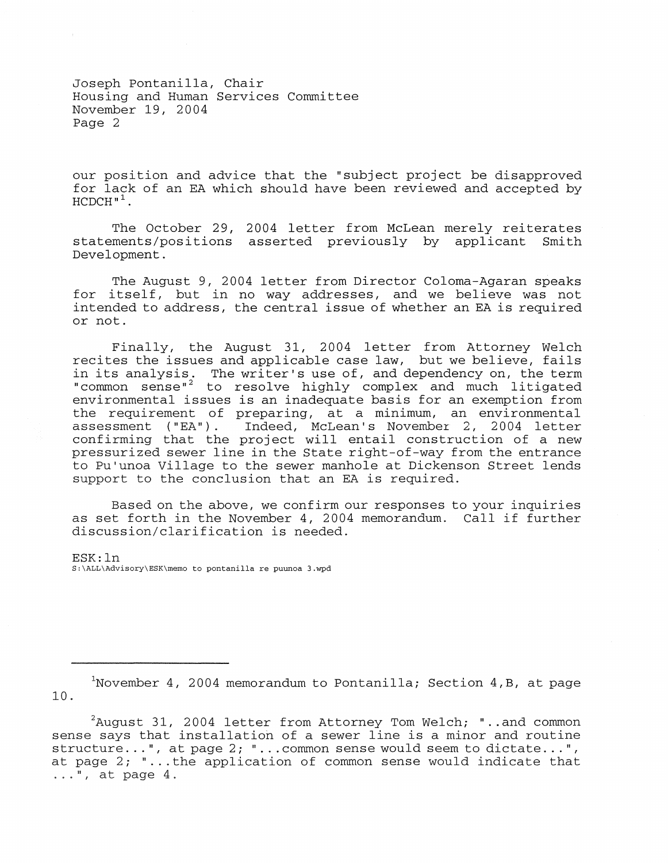Joseph Pontanilla, Chair Housing and Human Services Committee November 19, 2004 Page 2

our position and advice that the "subject project be disapproved for lack of an EA which should have been reviewed and accepted by  $HCDCH"$ <sup>1</sup>.

The October 29, 2004 letter from McLean merely reiterates statements/positions asserted previously by applicant Smith Development.

The August 9, 2004 letter from Director Coloma-Agaran speaks for itself, but in no way addresses, and we believe was not intended to address, the central issue of whether an EA is required or not.

Finally, the August 31, 2004 letter from Attorney Welch recites the issues and applicable case law, but we believe, fails in its analysis. The writer's use of, and dependency on, the term "common sense"<sup>2</sup> to resolve highly complex and much litigated environmental issues is an inadequate basis for an exemption from the requirement of preparing, at a minimum, an environmental<br>assessment ("EA"). Indeed, McLean's November 2, 2004 letter Indeed, McLean's November 2, 2004 letter confirming that the project will entail construction of a new pressurized sewer line in the State right-of-way from the entrance to Pu'unoa Village to the sewer manhole at Dickenson Street lends support to the conclusion that an EA is required.

Based on the above, we confirm our responses to your inquiries as set forth in the November 4, 2004 memorandum. Call if further discussion/clarification is needed.

ESK: In S:\ALL\Advisory\ESK\memo to pontanilla re puunoa 3.wpd

<sup>&</sup>lt;sup>1</sup>November 4, 2004 memorandum to Pontanilla; Section 4, B, at page 10.

 $2A$ uqust 31, 2004 letter from Attorney Tom Welch; "..and common sense says that installation of a sewer line is a minor and routine structure...", at page 2; "... common sense would seem to dictate...", at page 2; "... the application of common sense would indicate that  $\ldots$ ", at page 4.